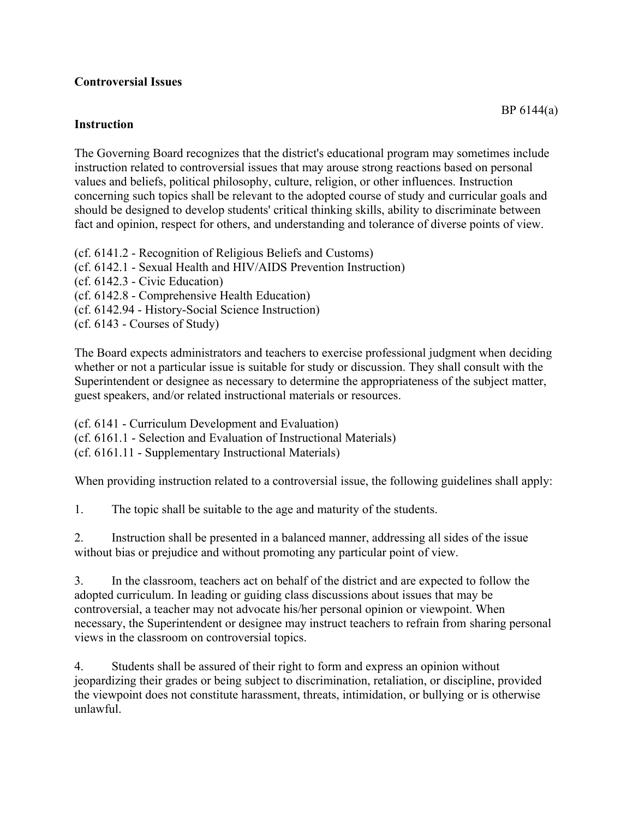## **Controversial Issues**

## **Instruction**

The Governing Board recognizes that the district's educational program may sometimes include instruction related to controversial issues that may arouse strong reactions based on personal values and beliefs, political philosophy, culture, religion, or other influences. Instruction concerning such topics shall be relevant to the adopted course of study and curricular goals and should be designed to develop students' critical thinking skills, ability to discriminate between fact and opinion, respect for others, and understanding and tolerance of diverse points of view.

(cf. 6141.2 - Recognition of Religious Beliefs and Customs) (cf. 6142.1 - Sexual Health and HIV/AIDS Prevention Instruction) (cf. 6142.3 - Civic Education) (cf. 6142.8 - Comprehensive Health Education) (cf. 6142.94 - History-Social Science Instruction) (cf. 6143 - Courses of Study)

The Board expects administrators and teachers to exercise professional judgment when deciding whether or not a particular issue is suitable for study or discussion. They shall consult with the Superintendent or designee as necessary to determine the appropriateness of the subject matter, guest speakers, and/or related instructional materials or resources.

(cf. 6141 - Curriculum Development and Evaluation) (cf. 6161.1 - Selection and Evaluation of Instructional Materials) (cf. 6161.11 - Supplementary Instructional Materials)

When providing instruction related to a controversial issue, the following guidelines shall apply:

1. The topic shall be suitable to the age and maturity of the students.

2. Instruction shall be presented in a balanced manner, addressing all sides of the issue without bias or prejudice and without promoting any particular point of view.

3. In the classroom, teachers act on behalf of the district and are expected to follow the adopted curriculum. In leading or guiding class discussions about issues that may be controversial, a teacher may not advocate his/her personal opinion or viewpoint. When necessary, the Superintendent or designee may instruct teachers to refrain from sharing personal views in the classroom on controversial topics.

4. Students shall be assured of their right to form and express an opinion without jeopardizing their grades or being subject to discrimination, retaliation, or discipline, provided the viewpoint does not constitute harassment, threats, intimidation, or bullying or is otherwise unlawful.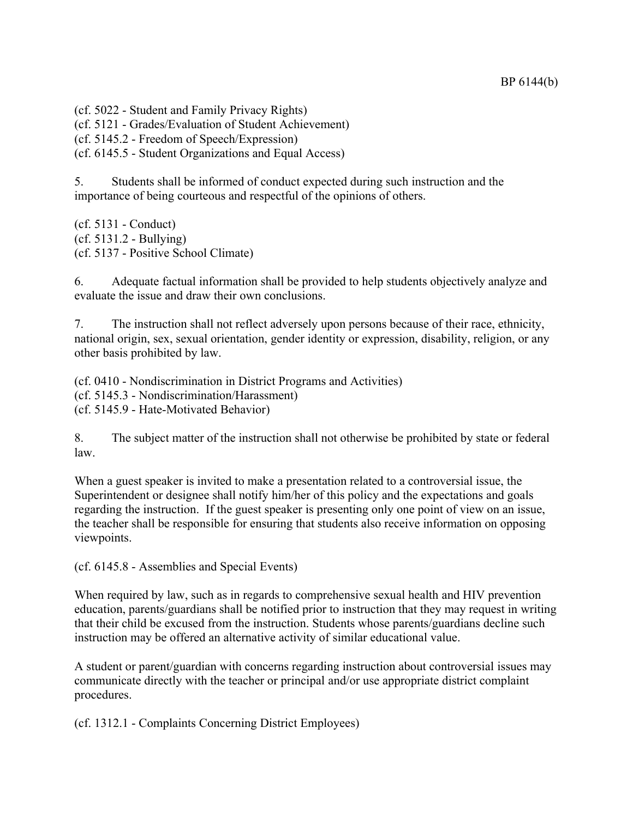(cf. 5022 - Student and Family Privacy Rights)

(cf. 5121 - Grades/Evaluation of Student Achievement)

(cf. 5145.2 - Freedom of Speech/Expression)

(cf. 6145.5 - Student Organizations and Equal Access)

5. Students shall be informed of conduct expected during such instruction and the importance of being courteous and respectful of the opinions of others.

(cf. 5131 - Conduct) (cf. 5131.2 - Bullying) (cf. 5137 - Positive School Climate)

6. Adequate factual information shall be provided to help students objectively analyze and evaluate the issue and draw their own conclusions.

7. The instruction shall not reflect adversely upon persons because of their race, ethnicity, national origin, sex, sexual orientation, gender identity or expression, disability, religion, or any other basis prohibited by law.

(cf. 0410 - Nondiscrimination in District Programs and Activities) (cf. 5145.3 - Nondiscrimination/Harassment) (cf. 5145.9 - Hate-Motivated Behavior)

8. The subject matter of the instruction shall not otherwise be prohibited by state or federal law.

When a guest speaker is invited to make a presentation related to a controversial issue, the Superintendent or designee shall notify him/her of this policy and the expectations and goals regarding the instruction. If the guest speaker is presenting only one point of view on an issue, the teacher shall be responsible for ensuring that students also receive information on opposing viewpoints.

(cf. 6145.8 - Assemblies and Special Events)

When required by law, such as in regards to comprehensive sexual health and HIV prevention education, parents/guardians shall be notified prior to instruction that they may request in writing that their child be excused from the instruction. Students whose parents/guardians decline such instruction may be offered an alternative activity of similar educational value.

A student or parent/guardian with concerns regarding instruction about controversial issues may communicate directly with the teacher or principal and/or use appropriate district complaint procedures.

(cf. 1312.1 - Complaints Concerning District Employees)